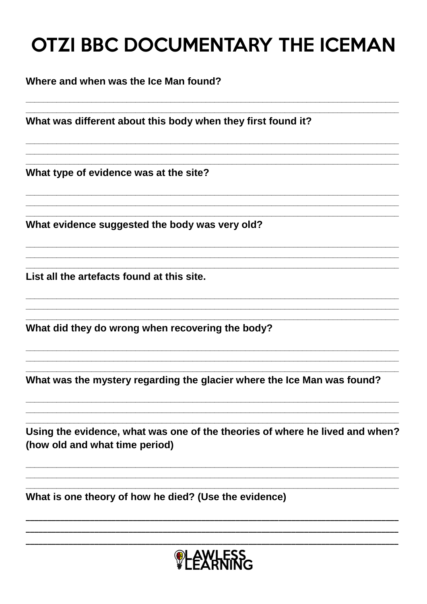# **OTZI BBC DOCUMENTARY THE ICEMAN**

Where and when was the Ice Man found?

What was different about this body when they first found it?

What type of evidence was at the site?

What evidence suggested the body was very old?

List all the artefacts found at this site.

What did they do wrong when recovering the body?

What was the mystery regarding the glacier where the Ice Man was found?

Using the evidence, what was one of the theories of where he lived and when? (how old and what time period)

What is one theory of how he died? (Use the evidence)